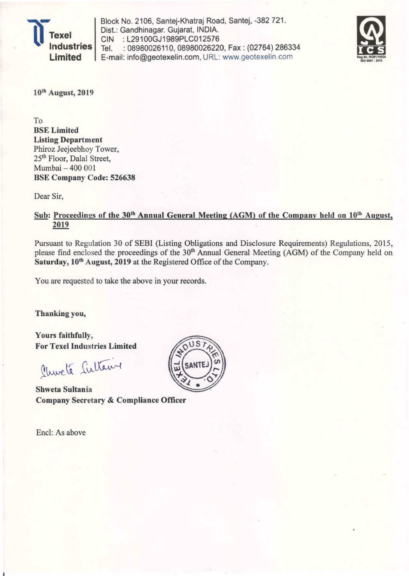

Block No. 2106, Santej-Khatraj Road, Santej, -382 721. Dist.: Gandhinagar. Gujarat, INDIA. CIN : L29100GJ1989PLC012576 Tel. : 08980026110, 08980026220, Fax : (02764) 286334 E-mail: info@geotexelin.com, URL: www.geotexelin.com



10'b August, 2019

To **BSE** Limited Listing Department Phiroz Jeejeebhoy Tower, 25<sup>th</sup> Floor, Dalal Street, Mumbai - 400 001 BSE Company Code: 526638

Dear Sir,

## Sub: Proceedings of the 30<sup>th</sup> Annual General Meeting (AGM) of the Company held on 10<sup>th</sup> August, 2019

Pursuant to Regulation 30 of SEBI (Listing Obligations and Disclosure Requirements) Regulations, 2015, please find enclosed the proceedings of the 30'h Annual General Meeting (AGM) of the Company held on Saturday, 10<sup>th</sup> August, 2019 at the Registered Office of the Company.

You are requested to take the above in your records.

Thanking you,

Yours faithfully, For Texel Industries Limited

Church Sultain

Shweta Sultania Company Secretary & Compliance Officer

Encl: As above

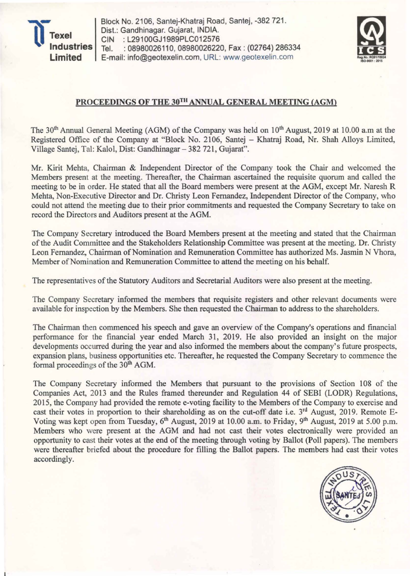

Block No. 2106, Santej-Khatraj Road, Santej, -382 721 . Dist.: Gandhinagar. Gujarat, INDIA. CIN :L29100GJ1989PLC012576 Tel. : 08980026110, 08980026220, Fax: (02764) 286334 E-mail: info@geotexelin.com, URL: www.geotexelin .com



## PROCEEDINGS OF THE 30TH ANNUAL GENERAL MEETING (AGM)

The 30<sup>th</sup> Annual General Meeting (AGM) of the Company was held on 10<sup>th</sup> August, 2019 at 10.00 a.m at the Registered Office of the Company at "Block No. 2106, Santej - Khatraj Road, Nr. Shah Alloys Limited, Village Santej, Tal: Kalol, Dist: Gandhinagar - 382 721, Gujarat".

Mr. Kirit Mehta, Chairman & Independent Director of the Company took the Chair and welcomed the Members present at the meeting. Thereafter, the Chairman ascertained the requisite quorum and called the meeting to be in order. He stated that all the Board members were present at the AGM, except Mr. Naresh R Mehta, Non-Executive Director and Dr. Christy Leon Fernandez, Independent Director of the Company, who could not attend the meeting due to their prior commitments and requested the Company Secretary to take on record the Directors and Auditors present at the AGM.

The Company Secretary introduced the Board Members present at the meeting and stated that the Chairman of the Audit Committee and the Stakeholders Relationship Committee was present at the meeting. Dr. Christy Leon Fernandez, Chairman of Nomination and Remuneration Committee has authorized Ms. Jasmin N Vhora, Member of Nomination and Remuneration Committee to attend the meeting on his behalf.

The representatives of the Statutory Auditors and Secretarial Auditors were also present at the meeting.

The Company Secretary informed the members that requisite registers and other relevant documents were available for inspection by the Members. She then requested the Chairman to address to the shareholders.

The Chairman then commenced his speech and gave an overview of the Company's operations and financial performance for the financial year ended March 31, 2019. He also provided an insight on the major developments occurred during the year and also informed the members about the company's future prospects, expansion plans, business opportunities etc. Thereafter, he requested the Company Secretary to commence the formal proceedings of the 30<sup>th</sup> AGM.

The Company Secretary informed the Members that pursuant to the provisions of Section 108 of the Companies Act, 2013 and the Rules framed thereunder and Regulation 44 of SEBI (LODR) Regulations, 2015, the Company had provided the remote e-voting facility to the Members of the Company to exercise and cast their votes in proportion to their shareholding as on the cut-off date i.e. 3<sup>rd</sup> August, 2019. Remote E-Voting was kept open from Tuesday, 6<sup>th</sup> August, 2019 at 10.00 a.m. to Friday, 9<sup>th</sup> August, 2019 at 5.00 p.m. Members who were present at the AGM and had not cast their votes electronically were provided an opportunity to cast their votes at the end of the meeting through voting by Ballot (Poll papers). The members were thereafter briefed about the procedure for filling the Ballot papers. The members had cast their votes accordingly.

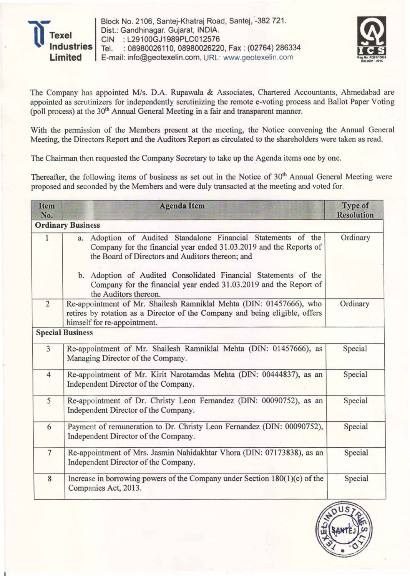

Block No. 2106, Santej-Khatraj Road, Santej, -382 721. Dist.: Gandhinagar. Gujarat, INDIA. CIN : L29100GJ1989PLC012576 Tel. : 08980026110, 08980026220, Fax : (02764) 286334 E-mail: info@geotexelin.com, URL: www.geotexelin.com



The Company has appointed *MIs.* D.A. Rupawala & Associates, Chartered Accountants, Ahmedabad are appointed as scrutinizers for independently scrutinizing the remote e-voting process and Ballot Paper Voting (poll process) at the 30<sup>th</sup> Annual General Meeting in a fair and transparent manner.

With the permission of the Members present at the meeting, the Notice convening the Annual General Meeting, the Directors Report and the Auditors Report as circulated to the shareholders were taken as read.

The Chairman then requested the Company Secretary to take up the Agenda items one by one.

Thereafter, the following items of business as set out in the Notice of 30<sup>th</sup> Annual General Meeting were proposed and seconded by the Members and were duly transacted at the meeting and voted for.

| <b>Item</b><br>No. | <b>Agenda Item</b>                                                                                                                                                                      | <b>Type of</b><br><b>Resolution</b> |
|--------------------|-----------------------------------------------------------------------------------------------------------------------------------------------------------------------------------------|-------------------------------------|
|                    | <b>Ordinary Business</b>                                                                                                                                                                |                                     |
| $\mathbf{1}$       | a. Adoption of Audited Standalone Financial Statements of the<br>Company for the financial year ended 31.03.2019 and the Reports of<br>the Board of Directors and Auditors thereon; and | Ordinary                            |
|                    | b. Adoption of Audited Consolidated Financial Statements of the<br>Company for the financial year ended 31.03.2019 and the Report of<br>the Auditors thereon.                           |                                     |
| $\overline{2}$     | Re-appointment of Mr. Shailesh Ramniklal Mehta (DIN: 01457666), who<br>retires by rotation as a Director of the Company and being eligible, offers<br>himself for re-appointment.       | Ordinary                            |
|                    | <b>Special Business</b>                                                                                                                                                                 |                                     |
| 3                  | Re-appointment of Mr. Shailesh Ramniklal Mehta (DIN: 01457666), as<br>Managing Director of the Company.                                                                                 | Special                             |
| $\overline{4}$     | Re-appointment of Mr. Kirit Narotamdas Mehta (DIN: 00444837), as an<br>Independent Director of the Company.                                                                             | Special                             |
| 5                  | Re-appointment of Dr. Christy Leon Fernandez (DIN: 00090752), as an<br>Independent Director of the Company.                                                                             | Special                             |
| 6                  | Payment of remuneration to Dr. Christy Leon Fernandez (DIN: 00090752),<br>Independent Director of the Company.                                                                          | Special                             |
| $\overline{7}$     | Re-appointment of Mrs. Jasmin Nahidakhtar Vhora (DIN: 07173838), as an<br>Independent Director of the Company.                                                                          | Special                             |
| $\boldsymbol{8}$   | Increase in borrowing powers of the Company under Section $180(1)(c)$ of the<br>Companies Act, 2013.                                                                                    | Special                             |